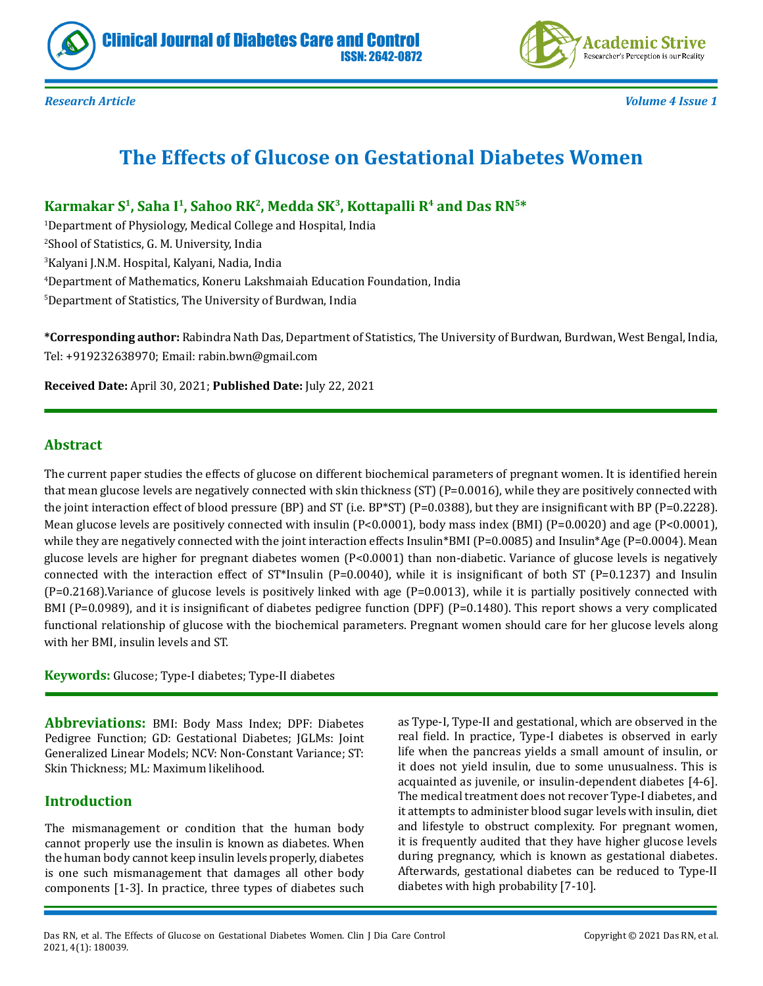



*Research Article Volume 4 Issue 1*

# **The Effects of Glucose on Gestational Diabetes Women**

ISSN: 2642-0872

**Karmakar S1, Saha I1, Sahoo RK2, Medda SK3, Kottapalli R4 and Das RN5\***

 Department of Physiology, Medical College and Hospital, India Shool of Statistics, G. M. University, India Kalyani J.N.M. Hospital, Kalyani, Nadia, India Department of Mathematics, Koneru Lakshmaiah Education Foundation, India Department of Statistics, The University of Burdwan, India

**\*Corresponding author:** Rabindra Nath Das, Department of Statistics, The University of Burdwan, Burdwan, West Bengal, India, Tel: +919232638970; Email: rabin.bwn@gmail.com

**Received Date:** April 30, 2021; **Published Date:** July 22, 2021

## **Abstract**

The current paper studies the effects of glucose on different biochemical parameters of pregnant women. It is identified herein that mean glucose levels are negatively connected with skin thickness (ST) (P=0.0016), while they are positively connected with the joint interaction effect of blood pressure (BP) and ST (i.e. BP\*ST) (P=0.0388), but they are insignificant with BP (P=0.2228). Mean glucose levels are positively connected with insulin (P<0.0001), body mass index (BMI) (P=0.0020) and age (P<0.0001), while they are negatively connected with the joint interaction effects Insulin\*BMI (P=0.0085) and Insulin\*Age (P=0.0004). Mean glucose levels are higher for pregnant diabetes women (P<0.0001) than non-diabetic. Variance of glucose levels is negatively connected with the interaction effect of  $ST*Insulin$  (P=0.0040), while it is insignificant of both  $ST$  (P=0.1237) and Insulin  $(P=0.2168)$ .Variance of glucose levels is positively linked with age  $(P=0.0013)$ , while it is partially positively connected with BMI (P=0.0989), and it is insignificant of diabetes pedigree function (DPF) (P=0.1480). This report shows a very complicated functional relationship of glucose with the biochemical parameters. Pregnant women should care for her glucose levels along with her BMI, insulin levels and ST.

**Keywords:** Glucose; Type-I diabetes; Type-II diabetes

**Abbreviations:** BMI: Body Mass Index; DPF: Diabetes Pedigree Function; GD: Gestational Diabetes; JGLMs: Joint Generalized Linear Models; NCV: Non-Constant Variance; ST: Skin Thickness; ML: Maximum likelihood.

# **Introduction**

The mismanagement or condition that the human body cannot properly use the insulin is known as diabetes. When the human body cannot keep insulin levels properly, diabetes is one such mismanagement that damages all other body components [1-3]. In practice, three types of diabetes such as Type-I, Type-II and gestational, which are observed in the real field. In practice, Type-I diabetes is observed in early life when the pancreas yields a small amount of insulin, or it does not yield insulin, due to some unusualness. This is acquainted as juvenile, or insulin-dependent diabetes [4-6]. The medical treatment does not recover Type-I diabetes, and it attempts to administer blood sugar levels with insulin, diet and lifestyle to obstruct complexity. For pregnant women, it is frequently audited that they have higher glucose levels during pregnancy, which is known as gestational diabetes. Afterwards, gestational diabetes can be reduced to Type-II diabetes with high probability [7-10].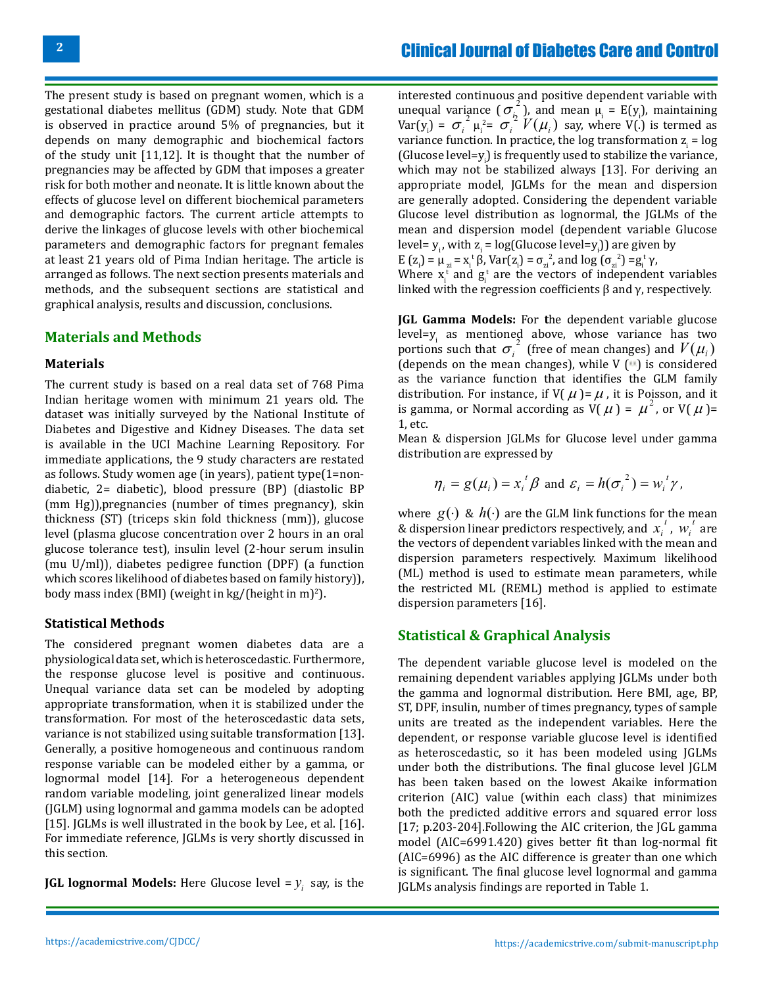The present study is based on pregnant women, which is a gestational diabetes mellitus (GDM) study. Note that GDM is observed in practice around 5% of pregnancies, but it depends on many demographic and biochemical factors of the study unit [11,12]. It is thought that the number of pregnancies may be affected by GDM that imposes a greater risk for both mother and neonate. It is little known about the effects of glucose level on different biochemical parameters and demographic factors. The current article attempts to derive the linkages of glucose levels with other biochemical parameters and demographic factors for pregnant females at least 21 years old of Pima Indian heritage. The article is arranged as follows. The next section presents materials and methods, and the subsequent sections are statistical and graphical analysis, results and discussion, conclusions.

#### **Materials and Methods**

#### **Materials**

The current study is based on a real data set of 768 Pima Indian heritage women with minimum 21 years old. The dataset was initially surveyed by the National Institute of Diabetes and Digestive and Kidney Diseases. The data set is available in the UCI Machine Learning Repository. For immediate applications, the 9 study characters are restated as follows. Study women age (in years), patient type(1=nondiabetic, 2= diabetic), blood pressure (BP) (diastolic BP (mm Hg)),pregnancies (number of times pregnancy), skin thickness (ST) (triceps skin fold thickness (mm)), glucose level (plasma glucose concentration over 2 hours in an oral glucose tolerance test), insulin level (2-hour serum insulin (mu U/ml)), diabetes pedigree function (DPF) (a function which scores likelihood of diabetes based on family history)), body mass index (BMI) (weight in  $kg/$ (height in m)<sup>2</sup>).

#### **Statistical Methods**

The considered pregnant women diabetes data are a physiological data set, which is heteroscedastic. Furthermore, the response glucose level is positive and continuous. Unequal variance data set can be modeled by adopting appropriate transformation, when it is stabilized under the transformation. For most of the heteroscedastic data sets, variance is not stabilized using suitable transformation [13]. Generally, a positive homogeneous and continuous random response variable can be modeled either by a gamma, or lognormal model [14]. For a heterogeneous dependent random variable modeling, joint generalized linear models (JGLM) using lognormal and gamma models can be adopted [15]. JGLMs is well illustrated in the book by Lee, et al. [16]. For immediate reference, JGLMs is very shortly discussed in this section.

**JGL lognormal Models:** Here Glucose level =  $y_i$  say, is the

interested continuous and positive dependent variable with unequal variance  $(\sigma_i^2)$ , and mean  $\mu_i = E(y_i)$ , maintaining Var(y<sub>i</sub>) =  $\sigma_i^2 \mu_i^2 = \sigma_i^2 V(\mu_i)$  say, where V(.) is termed as variance function. In practice, the log transformation  $z_i = \log \frac{z_i}{\sqrt{2\pi}}$ (Glucose level=y $_i$ ) is frequently used to stabilize the variance, which may not be stabilized always [13]. For deriving an appropriate model, JGLMs for the mean and dispersion are generally adopted. Considering the dependent variable Glucose level distribution as lognormal, the JGLMs of the mean and dispersion model (dependent variable Glucose level=  $y_i$ , with  $z_i$  = log(Glucose level= $y_i$ )) are given by  $\frac{1}{\pi} \int \frac{1}{\pi} \ln(\pi)$ 

$$
E(z_i) = \mu_{zi} = x_i^{\text{t}} \beta, \text{Var}(z_i) = \sigma_{zi}^2, \text{ and } \log(\sigma_{zi}^2) = g_i^{\text{t}} \gamma,
$$

Where  $x_i^t$  and  $g_i^t$  are the vectors of independent variables linked with the regression coefficients β and γ, respectively.

**JGL Gamma Models:** For **t**he dependent variable glucose level= $y_i$  as mentioned above, whose variance has two portions such that  $\sigma_i^2$  (free of mean changes) and  $V(\mu_i)$ (depends on the mean changes), while  $V(\cdot)$  is considered as the variance function that identifies the GLM family distribution. For instance, if  $V(M) = \mu$ , it is Poisson, and it is gamma, or Normal according as  $V(M) = \mu^2$ , or  $V(M) =$ 1, etc.

Mean & dispersion JGLMs for Glucose level under gamma distribution are expressed by

$$
\eta_i = g(\mu_i) = x_i^t \beta
$$
 and  $\varepsilon_i = h(\sigma_i^2) = w_i^t \gamma$ ,

where  $g(\cdot) \& h(\cdot)$  are the GLM link functions for the mean & dispersion linear predictors respectively, and  $x_i^t$ ,  $w_i^t$  are the vectors of dependent variables linked with the mean and dispersion parameters respectively. Maximum likelihood (ML) method is used to estimate mean parameters, while the restricted ML (REML) method is applied to estimate dispersion parameters [16].

## **Statistical & Graphical Analysis**

The dependent variable glucose level is modeled on the remaining dependent variables applying JGLMs under both the gamma and lognormal distribution. Here BMI, age, BP, ST, DPF, insulin, number of times pregnancy, types of sample units are treated as the independent variables. Here the dependent, or response variable glucose level is identified as heteroscedastic, so it has been modeled using JGLMs under both the distributions. The final glucose level JGLM has been taken based on the lowest Akaike information criterion (AIC) value (within each class) that minimizes both the predicted additive errors and squared error loss [17; p.203-204].Following the AIC criterion, the JGL gamma model (AIC=6991.420) gives better fit than log-normal fit (AIC=6996) as the AIC difference is greater than one which is significant. The final glucose level lognormal and gamma JGLMs analysis findings are reported in Table 1.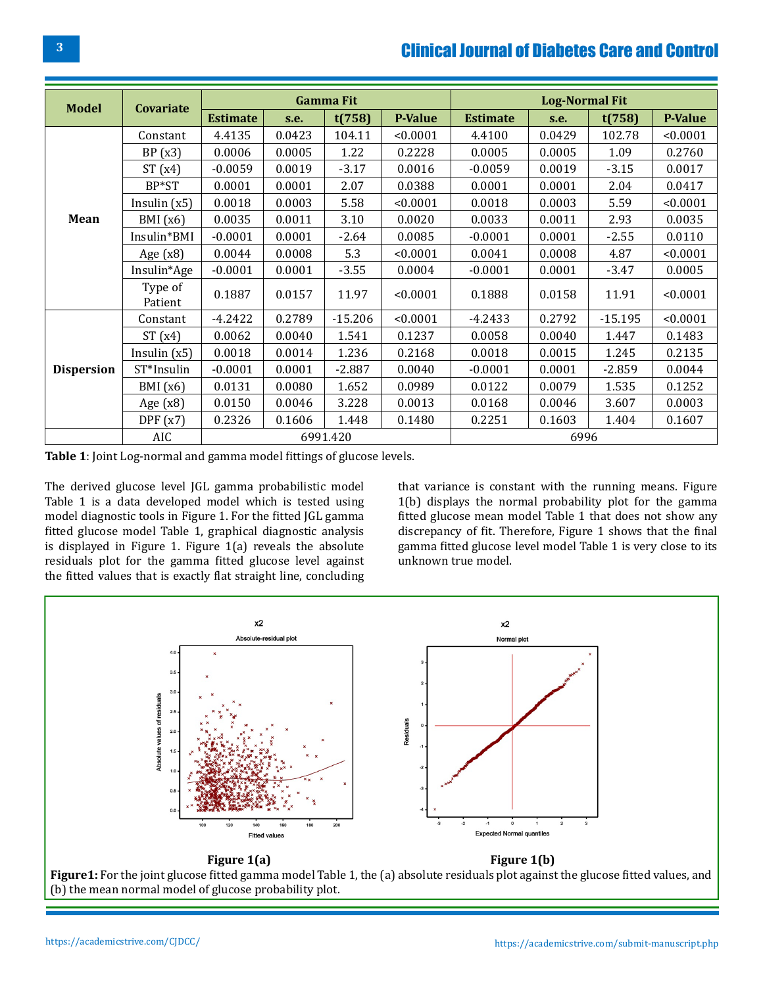# Clinical Journal of Diabetes Care and Control

| <b>Model</b>      | Covariate          | <b>Gamma Fit</b> |        |           |                | <b>Log-Normal Fit</b> |        |           |          |
|-------------------|--------------------|------------------|--------|-----------|----------------|-----------------------|--------|-----------|----------|
|                   |                    | <b>Estimate</b>  | S.E.   | t(758)    | <b>P-Value</b> | <b>Estimate</b>       | S.e.   | t(758)    | P-Value  |
| Mean              | Constant           | 4.4135           | 0.0423 | 104.11    | < 0.0001       | 4.4100                | 0.0429 | 102.78    | < 0.0001 |
|                   | BP(x3)             | 0.0006           | 0.0005 | 1.22      | 0.2228         | 0.0005                | 0.0005 | 1.09      | 0.2760   |
|                   | ST(x4)             | $-0.0059$        | 0.0019 | $-3.17$   | 0.0016         | $-0.0059$             | 0.0019 | $-3.15$   | 0.0017   |
|                   | BP*ST              | 0.0001           | 0.0001 | 2.07      | 0.0388         | 0.0001                | 0.0001 | 2.04      | 0.0417   |
|                   | Insulin $(x5)$     | 0.0018           | 0.0003 | 5.58      | < 0.0001       | 0.0018                | 0.0003 | 5.59      | < 0.0001 |
|                   | BMI(x6)            | 0.0035           | 0.0011 | 3.10      | 0.0020         | 0.0033                | 0.0011 | 2.93      | 0.0035   |
|                   | Insulin*BMI        | $-0.0001$        | 0.0001 | $-2.64$   | 0.0085         | $-0.0001$             | 0.0001 | $-2.55$   | 0.0110   |
|                   | Age $(x8)$         | 0.0044           | 0.0008 | 5.3       | < 0.0001       | 0.0041                | 0.0008 | 4.87      | < 0.0001 |
|                   | Insulin*Age        | $-0.0001$        | 0.0001 | $-3.55$   | 0.0004         | $-0.0001$             | 0.0001 | $-3.47$   | 0.0005   |
|                   | Type of<br>Patient | 0.1887           | 0.0157 | 11.97     | < 0.0001       | 0.1888                | 0.0158 | 11.91     | < 0.0001 |
| <b>Dispersion</b> | Constant           | $-4.2422$        | 0.2789 | $-15.206$ | < 0.0001       | $-4.2433$             | 0.2792 | $-15.195$ | < 0.0001 |
|                   | ST(x4)             | 0.0062           | 0.0040 | 1.541     | 0.1237         | 0.0058                | 0.0040 | 1.447     | 0.1483   |
|                   | Insulin $(x5)$     | 0.0018           | 0.0014 | 1.236     | 0.2168         | 0.0018                | 0.0015 | 1.245     | 0.2135   |
|                   | ST*Insulin         | $-0.0001$        | 0.0001 | $-2.887$  | 0.0040         | $-0.0001$             | 0.0001 | $-2.859$  | 0.0044   |
|                   | BMI(x6)            | 0.0131           | 0.0080 | 1.652     | 0.0989         | 0.0122                | 0.0079 | 1.535     | 0.1252   |
|                   | Age $(x8)$         | 0.0150           | 0.0046 | 3.228     | 0.0013         | 0.0168                | 0.0046 | 3.607     | 0.0003   |
|                   | DPF(x7)            | 0.2326           | 0.1606 | 1.448     | 0.1480         | 0.2251                | 0.1603 | 1.404     | 0.1607   |
|                   | AIC                | 6991.420         |        |           |                | 6996                  |        |           |          |

**Table 1**: Joint Log-normal and gamma model fittings of glucose levels.

The derived glucose level JGL gamma probabilistic model Table 1 is a data developed model which is tested using model diagnostic tools in Figure 1. For the fitted JGL gamma fitted glucose model Table 1, graphical diagnostic analysis is displayed in Figure 1. Figure 1(a) reveals the absolute residuals plot for the gamma fitted glucose level against the fitted values that is exactly flat straight line, concluding that variance is constant with the running means. Figure 1(b) displays the normal probability plot for the gamma fitted glucose mean model Table 1 that does not show any discrepancy of fit. Therefore, Figure 1 shows that the final gamma fitted glucose level model Table 1 is very close to its unknown true model.



**Figure1:** For the joint glucose fitted gamma model Table 1, the (a) absolute residuals plot against the glucose fitted values, and (b) the mean normal model of glucose probability plot.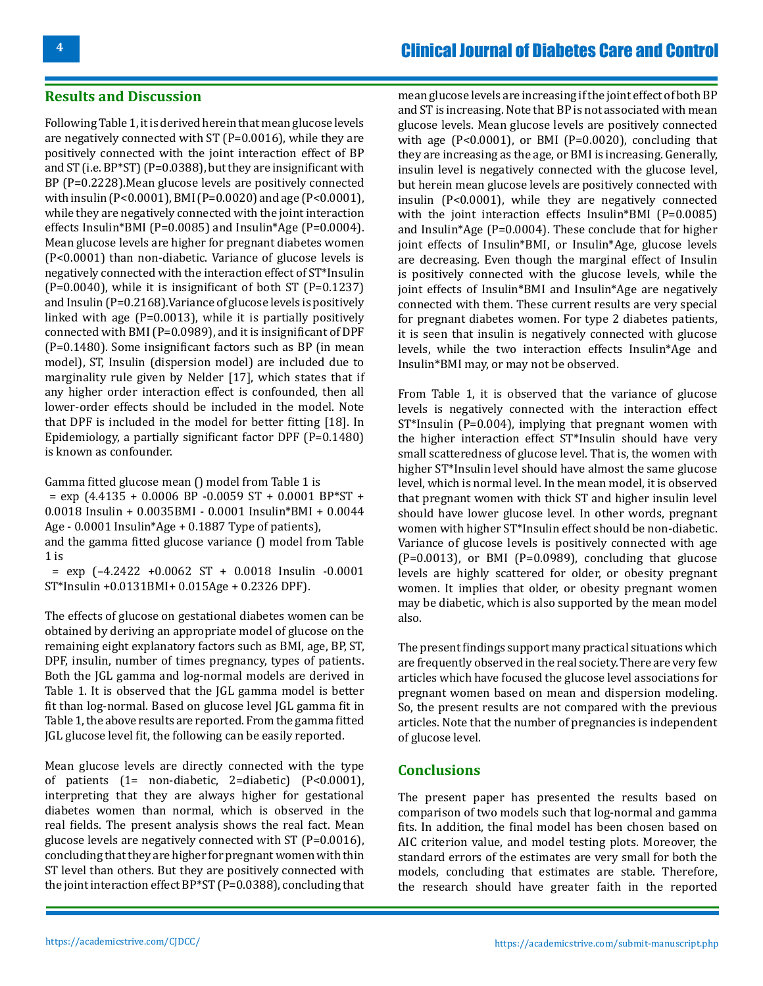#### **Results and Discussion**

Following Table 1, it is derived herein that mean glucose levels are negatively connected with ST (P=0.0016), while they are positively connected with the joint interaction effect of BP and ST (i.e. BP\*ST) (P=0.0388), but they are insignificant with BP (P=0.2228).Mean glucose levels are positively connected with insulin (P<0.0001), BMI (P=0.0020) and age (P<0.0001), while they are negatively connected with the joint interaction effects Insulin\*BMI (P=0.0085) and Insulin\*Age (P=0.0004). Mean glucose levels are higher for pregnant diabetes women (P<0.0001) than non-diabetic. Variance of glucose levels is negatively connected with the interaction effect of ST\*Insulin  $(P=0.0040)$ , while it is insignificant of both ST  $(P=0.1237)$ and Insulin (P=0.2168).Variance of glucose levels is positively linked with age (P=0.0013), while it is partially positively connected with BMI (P=0.0989), and it is insignificant of DPF (P=0.1480). Some insignificant factors such as BP (in mean model), ST, Insulin (dispersion model) are included due to marginality rule given by Nelder [17], which states that if any higher order interaction effect is confounded, then all lower-order effects should be included in the model. Note that DPF is included in the model for better fitting [18]. In Epidemiology, a partially significant factor DPF (P=0.1480) is known as confounder.

Gamma fitted glucose mean () model from Table 1 is  $=$  exp (4.4135 + 0.0006 BP -0.0059 ST + 0.0001 BP\*ST + 0.0018 Insulin + 0.0035BMI - 0.0001 Insulin\*BMI + 0.0044 Age - 0.0001 Insulin\*Age + 0.1887 Type of patients), and the gamma fitted glucose variance () model from Table 1 is  $=$  exp  $(-4.2422 + 0.0062 \text{ ST} + 0.0018 \text{ Insulin} -0.0001$ 

ST\*Insulin +0.0131BMI+ 0.015Age + 0.2326 DPF). The effects of glucose on gestational diabetes women can be

obtained by deriving an appropriate model of glucose on the remaining eight explanatory factors such as BMI, age, BP, ST, DPF, insulin, number of times pregnancy, types of patients. Both the JGL gamma and log-normal models are derived in Table 1. It is observed that the JGL gamma model is better fit than log-normal. Based on glucose level JGL gamma fit in Table 1, the above results are reported. From the gamma fitted JGL glucose level fit, the following can be easily reported.

Mean glucose levels are directly connected with the type of patients (1= non-diabetic, 2=diabetic) (P<0.0001), interpreting that they are always higher for gestational diabetes women than normal, which is observed in the real fields. The present analysis shows the real fact. Mean glucose levels are negatively connected with ST (P=0.0016), concluding that they are higher for pregnant women with thin ST level than others. But they are positively connected with the joint interaction effect BP\*ST (P=0.0388), concluding that

mean glucose levels are increasing if the joint effect of both BP and ST is increasing. Note that BP is not associated with mean glucose levels. Mean glucose levels are positively connected with age (P<0.0001), or BMI (P=0.0020), concluding that they are increasing as the age, or BMI is increasing. Generally, insulin level is negatively connected with the glucose level, but herein mean glucose levels are positively connected with insulin (P<0.0001), while they are negatively connected with the joint interaction effects Insulin\*BMI (P=0.0085) and Insulin\*Age (P=0.0004). These conclude that for higher joint effects of Insulin\*BMI, or Insulin\*Age, glucose levels are decreasing. Even though the marginal effect of Insulin is positively connected with the glucose levels, while the joint effects of Insulin\*BMI and Insulin\*Age are negatively connected with them. These current results are very special for pregnant diabetes women. For type 2 diabetes patients, it is seen that insulin is negatively connected with glucose levels, while the two interaction effects Insulin\*Age and Insulin\*BMI may, or may not be observed.

From Table 1, it is observed that the variance of glucose levels is negatively connected with the interaction effect ST\*Insulin (P=0.004), implying that pregnant women with the higher interaction effect ST\*Insulin should have very small scatteredness of glucose level. That is, the women with higher ST\*Insulin level should have almost the same glucose level, which is normal level. In the mean model, it is observed that pregnant women with thick ST and higher insulin level should have lower glucose level. In other words, pregnant women with higher ST\*Insulin effect should be non-diabetic. Variance of glucose levels is positively connected with age  $(P=0.0013)$ , or BMI  $(P=0.0989)$ , concluding that glucose levels are highly scattered for older, or obesity pregnant women. It implies that older, or obesity pregnant women may be diabetic, which is also supported by the mean model also.

The present findings support many practical situations which are frequently observed in the real society. There are very few articles which have focused the glucose level associations for pregnant women based on mean and dispersion modeling. So, the present results are not compared with the previous articles. Note that the number of pregnancies is independent of glucose level.

### **Conclusions**

The present paper has presented the results based on comparison of two models such that log-normal and gamma fits. In addition, the final model has been chosen based on AIC criterion value, and model testing plots. Moreover, the standard errors of the estimates are very small for both the models, concluding that estimates are stable. Therefore, the research should have greater faith in the reported